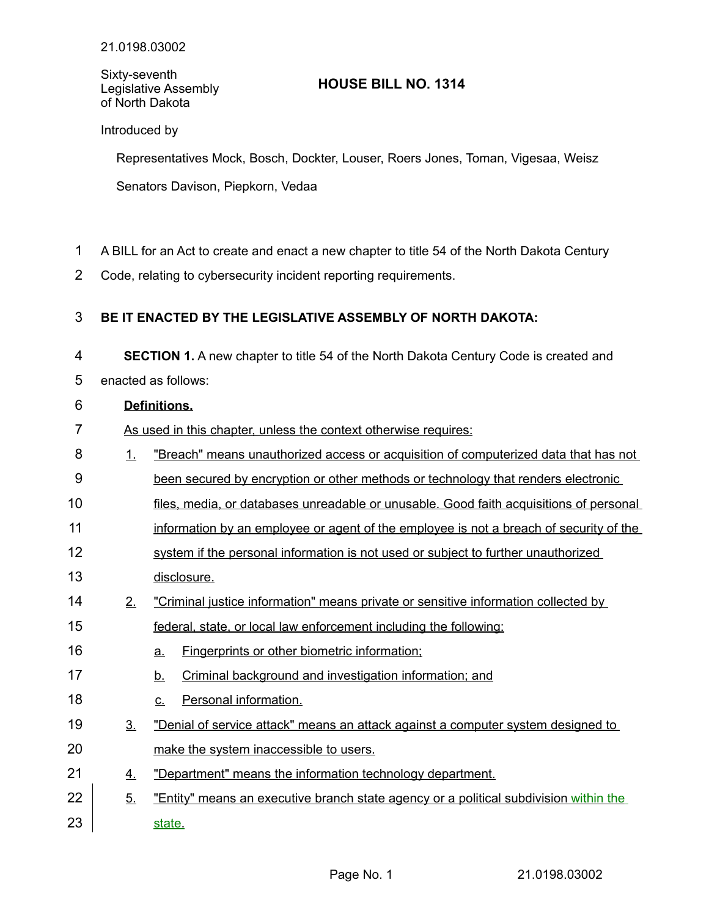## Sixty-seventh Legislative Assembly of North Dakota

# **HOUSE BILL NO. 1314**

## Introduced by

Representatives Mock, Bosch, Dockter, Louser, Roers Jones, Toman, Vigesaa, Weisz Senators Davison, Piepkorn, Vedaa

- A BILL for an Act to create and enact a new chapter to title 54 of the North Dakota Century 1
- Code, relating to cybersecurity incident reporting requirements. 2

#### **BE IT ENACTED BY THE LEGISLATIVE ASSEMBLY OF NORTH DAKOTA:** 3

**SECTION 1.** A new chapter to title 54 of the North Dakota Century Code is created and enacted as follows: 4 5

#### **Definitions.** 6

- As used in this chapter, unless the context otherwise requires: 7
- 1. "Breach" means unauthorized access or acquisition of computerized data that has not been secured by encryption or other methods or technology that renders electronic 8 9
- files, media, or databases unreadable or unusable. Good faith acquisitions of personal 10
- information by an employee or agent of the employee is not a breach of security of the 11
- system if the personal information is not used or subject to further unauthorized 12
- disclosure. 13
- 2. "Criminal justice information" means private or sensitive information collected by 14
- federal, state, or local law enforcement including the following: 15
- a. Fingerprints or other biometric information; 16
- b. Criminal background and investigation information; and 17
- c. Personal information. 18
- 3. "Denial of service attack" means an attack against a computer system designed to make the system inaccessible to users. 19 20
- 4. "Department" means the information technology department. 21
- 5. " Entity" means an executive branch state agency or a political subdivision within the state. 22 23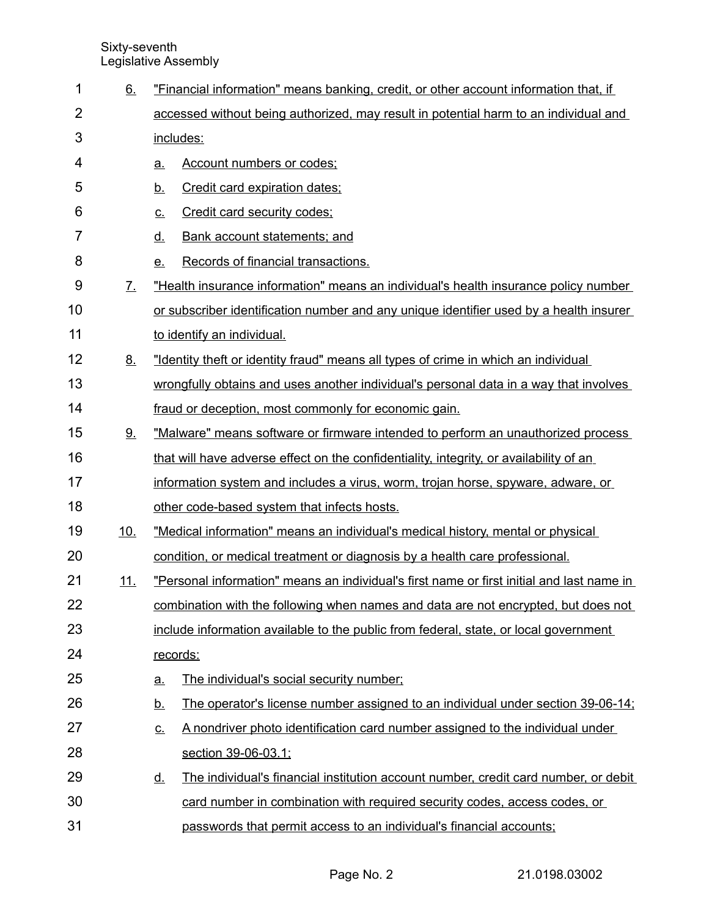Sixty-seventh Legislative Assembly

| 1              | 6.                          | "Financial information" means banking, credit, or other account information that, if             |  |  |
|----------------|-----------------------------|--------------------------------------------------------------------------------------------------|--|--|
| $\overline{2}$ |                             | accessed without being authorized, may result in potential harm to an individual and             |  |  |
| 3              |                             | includes:                                                                                        |  |  |
| 4              |                             | <b>Account numbers or codes;</b><br><u>a.</u>                                                    |  |  |
| 5              |                             | Credit card expiration dates;<br><u>b.</u>                                                       |  |  |
| 6              |                             | Credit card security codes;<br><u>c.</u>                                                         |  |  |
| 7              |                             | <u>d.</u><br><b>Bank account statements; and</b>                                                 |  |  |
| 8              |                             | Records of financial transactions.<br>e                                                          |  |  |
| 9              | $\underline{\mathcal{I}}$ . | "Health insurance information" means an individual's health insurance policy number              |  |  |
| 10             |                             | or subscriber identification number and any unique identifier used by a health insurer           |  |  |
| 11             |                             | to identify an individual.                                                                       |  |  |
| 12             | 8.                          | "Identity theft or identity fraud" means all types of crime in which an individual               |  |  |
| 13             |                             | wrongfully obtains and uses another individual's personal data in a way that involves            |  |  |
| 14             |                             | fraud or deception, most commonly for economic gain.                                             |  |  |
| 15             | 9.                          | "Malware" means software or firmware intended to perform an unauthorized process                 |  |  |
| 16             |                             | that will have adverse effect on the confidentiality, integrity, or availability of an           |  |  |
| 17             |                             | information system and includes a virus, worm, trojan horse, spyware, adware, or                 |  |  |
| 18             |                             | other code-based system that infects hosts.                                                      |  |  |
| 19             | 10.                         | "Medical information" means an individual's medical history, mental or physical                  |  |  |
| 20             |                             | condition, or medical treatment or diagnosis by a health care professional.                      |  |  |
| 21             | <u> 11.</u>                 | "Personal information" means an individual's first name or first initial and last name in        |  |  |
| 22             |                             | combination with the following when names and data are not encrypted, but does not               |  |  |
| 23             |                             | include information available to the public from federal, state, or local government             |  |  |
| 24             |                             | records:                                                                                         |  |  |
| 25             |                             | The individual's social security number;<br><u>a.</u>                                            |  |  |
| 26             |                             | The operator's license number assigned to an individual under section 39-06-14;<br><u>b.</u>     |  |  |
| 27             |                             | A nondriver photo identification card number assigned to the individual under<br><u>c.</u>       |  |  |
| 28             |                             | section 39-06-03.1;                                                                              |  |  |
| 29             |                             | The individual's financial institution account number, credit card number, or debit<br><u>d.</u> |  |  |
| 30             |                             | card number in combination with required security codes, access codes, or                        |  |  |
| 31             |                             | passwords that permit access to an individual's financial accounts;                              |  |  |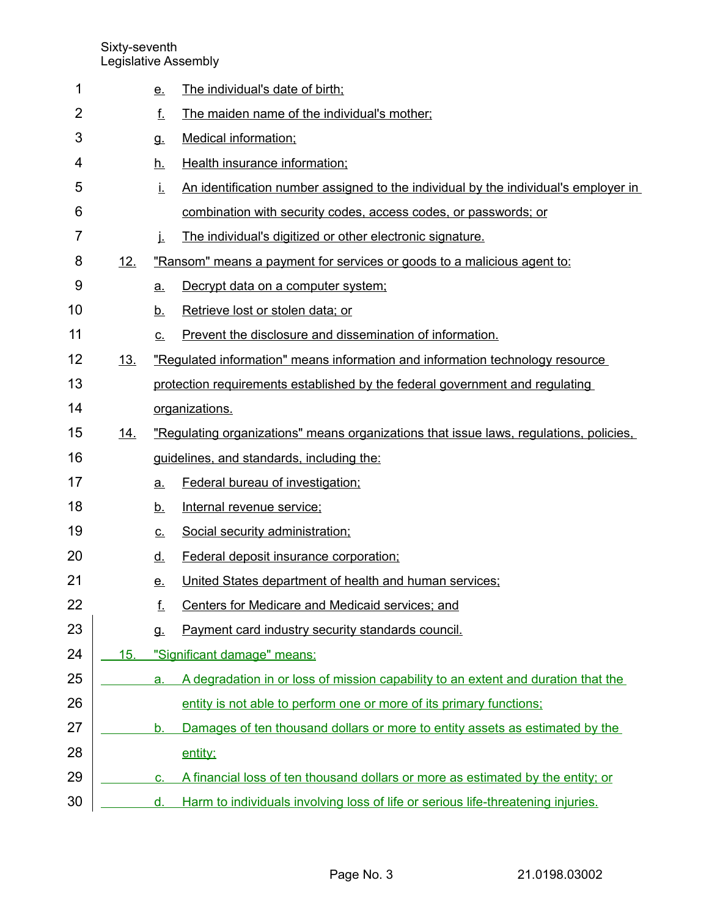Sixty-seventh Legislative Assembly

| 1              |            | <u>e.</u>      | The individual's date of birth;                                                        |
|----------------|------------|----------------|----------------------------------------------------------------------------------------|
| 2              |            | f.             | The maiden name of the individual's mother;                                            |
| 3              |            | <b>g.</b>      | <b>Medical information;</b>                                                            |
| 4              |            | <u>h.</u>      | Health insurance information;                                                          |
| 5              |            | İ.             | An identification number assigned to the individual by the individual's employer in    |
| 6              |            |                | combination with security codes, access codes, or passwords; or                        |
| $\overline{7}$ |            | İ.             | The individual's digitized or other electronic signature.                              |
| 8              | 12.        |                | "Ransom" means a payment for services or goods to a malicious agent to:                |
| 9              |            | <u>a.</u>      | Decrypt data on a computer system;                                                     |
| 10             |            | <u>b.</u>      | Retrieve lost or stolen data; or                                                       |
| 11             |            | C.             | Prevent the disclosure and dissemination of information.                               |
| 12             | <u>13.</u> |                | "Regulated information" means information and information technology resource          |
| 13             |            |                | protection requirements established by the federal government and regulating           |
| 14             |            |                | organizations.                                                                         |
| 15             | <u>14.</u> |                | "Regulating organizations" means organizations that issue laws, regulations, policies, |
| 16             |            |                | guidelines, and standards, including the:                                              |
| 17             |            | <u>a.</u>      | Federal bureau of investigation;                                                       |
| 18             |            | <u>b.</u>      | Internal revenue service;                                                              |
| 19             |            | <u>c.</u>      | Social security administration;                                                        |
| 20             |            | <u>d.</u>      | Federal deposit insurance corporation;                                                 |
| 21             |            | <u>e.</u>      | United States department of health and human services;                                 |
| 22             |            | f.             | Centers for Medicare and Medicaid services; and                                        |
| 23             |            | g.             | Payment card industry security standards council.                                      |
| 24             | 15.        |                | "Significant damage" means:                                                            |
| 25             |            | a.             | A degradation in or loss of mission capability to an extent and duration that the      |
| 26             |            |                | entity is not able to perform one or more of its primary functions;                    |
| 27             |            | b.             | Damages of ten thousand dollars or more to entity assets as estimated by the           |
| 28             |            |                | entity;                                                                                |
| 29             |            | C <sub>1</sub> | A financial loss of ten thousand dollars or more as estimated by the entity; or        |
| 30             |            | d.             | Harm to individuals involving loss of life or serious life-threatening injuries.       |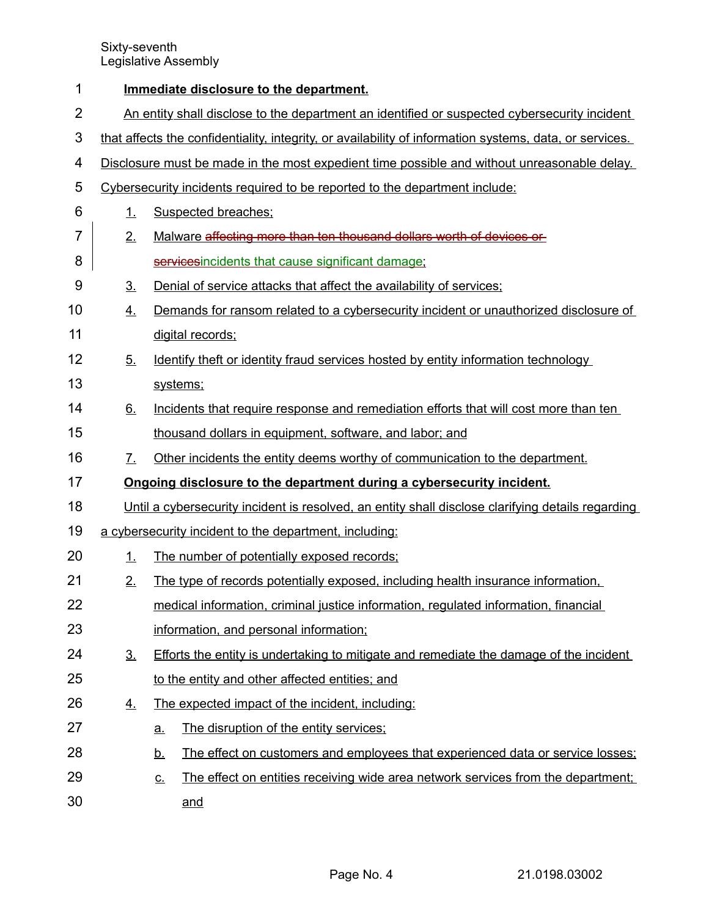Sixty-seventh Legislative Assembly

| 1              | Immediate disclosure to the department.                                                           |                                                                                                         |  |  |  |  |
|----------------|---------------------------------------------------------------------------------------------------|---------------------------------------------------------------------------------------------------------|--|--|--|--|
| $\overline{2}$ | An entity shall disclose to the department an identified or suspected cybersecurity incident      |                                                                                                         |  |  |  |  |
| 3              |                                                                                                   | that affects the confidentiality, integrity, or availability of information systems, data, or services. |  |  |  |  |
| 4              |                                                                                                   | Disclosure must be made in the most expedient time possible and without unreasonable delay.             |  |  |  |  |
| 5              | Cybersecurity incidents required to be reported to the department include:                        |                                                                                                         |  |  |  |  |
| 6              | 1.                                                                                                | <b>Suspected breaches:</b>                                                                              |  |  |  |  |
| $\overline{7}$ | 2.                                                                                                | Malware affecting more than ten thousand dollars worth of devices or                                    |  |  |  |  |
| 8              |                                                                                                   | servicesincidents that cause significant damage:                                                        |  |  |  |  |
| 9              | 3 <sub>1</sub>                                                                                    | Denial of service attacks that affect the availability of services;                                     |  |  |  |  |
| 10             | <u>4.</u>                                                                                         | Demands for ransom related to a cybersecurity incident or unauthorized disclosure of                    |  |  |  |  |
| 11             |                                                                                                   | digital records:                                                                                        |  |  |  |  |
| 12             | 5.                                                                                                | Identify theft or identity fraud services hosted by entity information technology                       |  |  |  |  |
| 13             |                                                                                                   | systems;                                                                                                |  |  |  |  |
| 14             | 6.                                                                                                | Incidents that require response and remediation efforts that will cost more than ten                    |  |  |  |  |
| 15             |                                                                                                   | thousand dollars in equipment, software, and labor; and                                                 |  |  |  |  |
| 16             | 7.                                                                                                | Other incidents the entity deems worthy of communication to the department.                             |  |  |  |  |
| 17             | Ongoing disclosure to the department during a cybersecurity incident.                             |                                                                                                         |  |  |  |  |
| 18             | Until a cybersecurity incident is resolved, an entity shall disclose clarifying details regarding |                                                                                                         |  |  |  |  |
| 19             | a cybersecurity incident to the department, including:                                            |                                                                                                         |  |  |  |  |
| 20             | 1.                                                                                                | The number of potentially exposed records;                                                              |  |  |  |  |
| 21             | 2.                                                                                                | The type of records potentially exposed, including health insurance information,                        |  |  |  |  |
| 22             |                                                                                                   | medical information, criminal justice information, regulated information, financial                     |  |  |  |  |
| 23             |                                                                                                   | information, and personal information;                                                                  |  |  |  |  |
| 24             | 3 <sub>1</sub>                                                                                    | Efforts the entity is undertaking to mitigate and remediate the damage of the incident                  |  |  |  |  |
| 25             |                                                                                                   | to the entity and other affected entities; and                                                          |  |  |  |  |
| 26             | $\overline{4}$ .                                                                                  | The expected impact of the incident, including:                                                         |  |  |  |  |
| 27             |                                                                                                   | The disruption of the entity services;<br><u>a.</u>                                                     |  |  |  |  |
| 28             |                                                                                                   | The effect on customers and employees that experienced data or service losses;<br><u>b.</u>             |  |  |  |  |
| 29             |                                                                                                   | The effect on entities receiving wide area network services from the department.<br><u>c.</u>           |  |  |  |  |
| 30             |                                                                                                   | and                                                                                                     |  |  |  |  |